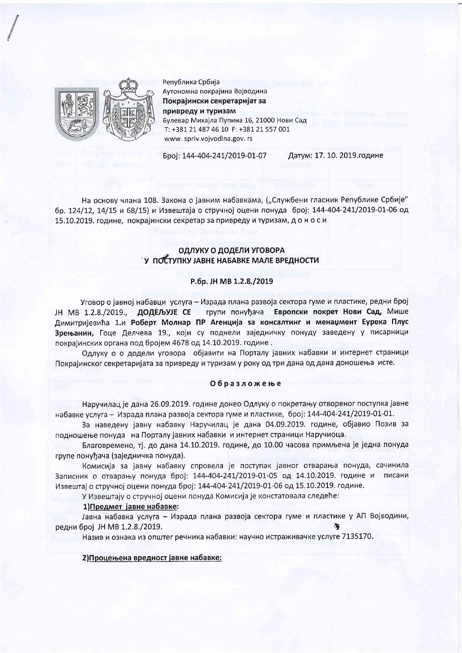

Република Србија Аутономна покрајина Војводина Покрајински секретаријат за привреду и туризам Булевар Михајла Пупина 16, 21000 Нови Сад T: +381 21 487 46 10 F: +381 21 557 001 www.spriv.vojvodina.gov.rs

Број: 144-404-241/2019-01-07

Датум: 17. 10. 2019. године

На основу члана 108. Закона о јавним набавкама, ("Службени гласник Републике Србије" бр. 124/12, 14/15 и 68/15) и Извештаја о стручној оцени понуда број: 144-404-241/2019-01-06 од 15.10.2019. године, покрајински секретар за привреду и туризам, до носи

### ОДЛУКУ О ДОДЕЛИ УГОВОРА У ПОСТУПКУ ЈАВНЕ НАБАВКЕ МАЛЕ ВРЕДНОСТИ

### P.6p. JH MB 1.2.8./2019

Уговор о јавној набавци услуга - Израда плана развоја сектора гуме и пластике, редни број групи понуђача Европски покрет Нови Сад, Мише ЈН МВ 1.2.8./2019.. ДОДЕЉУЈЕ СЕ Димитријевића 1.и Роберт Молнар ПР Агенција за консалтинг и менаџмент Еурека Плус Зрењанин, Гоце Делчева 19., који су поднели заједничку понуду заведену у писарници покрајинских органа под бројем 4678 од 14.10.2019. године.

Одлуку о о додели уговора објавити на Порталу јавних набавки и интернет страници Покрајинског секретаријата за привреду и туризам у року од три дана од дана доношења исте.

### Образложење

Наручилац је дана 26.09.2019. године донео Одлуку о покретању отвореног поступка јавне набавке услуга - Израда плана развоја сектора гуме и пластике, број: 144-404-241/2019-01-01.

За наведену јавну набавку Наручилац је дана 04.09.2019. године, објавио Позив за подношење понуда на Порталу јавних набавки и интернет страници Наручиоца.

Благовремено, тј. до дана 14.10.2019. године, до 10.00 часова примљена је једна понуда групе понуђача (заједничка понуда).

Комисија за јавну набавку спровела је поступак јавног отварања понуда, сачинила Записник о отварању понуда број: 144-404-241/2019-01-05 од 14.10.2019. године и писани Извештај о стручној оцени понуда број: 144-404-241/2019-01-06 од 15.10.2019. године.

У Извештају о стручној оцени понуда Комисија је констатовала следеће:

#### 1) Предмет јавне набавке:

Јавна набавка услуга - Израда плана развоја сектора гуме и пластике у АП Војводини, редни број ЈН МВ 1.2.8./2019.

Назив и ознака из општег речника набавки: научно истраживачке услуге 7135170.

### 2) Процењена вредност јавне набавке: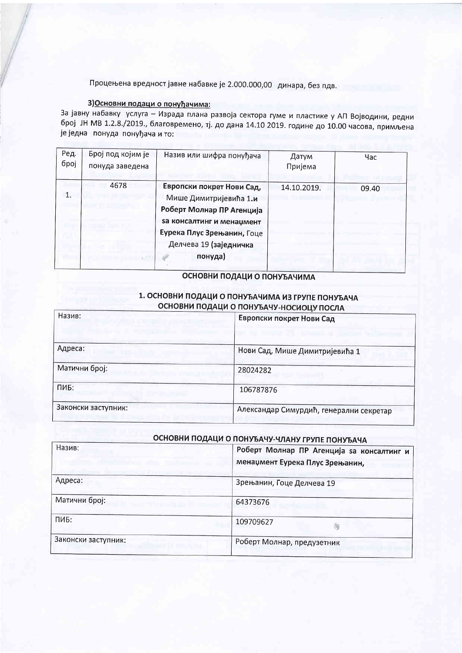Процењена вредност јавне набавке је 2.000.000,00 динара, без пдв.

## 3) Основни подаци о понуђачима:

за јавну набавку услуга - Израда плана развоја сектора гуме и пластике у АП Војводини, редни број ЈН МВ 1.2.8./2019., благовремено, тј. до дана 14.10 2019. године до 10.00 часова, примљена је једна понуда понуђача и то:

| Ред.<br>број | Број под којим је<br>понуда заведена | Назив или шифра понуђача                                                                                                                                                         | Датум<br>Пријема | Час   |
|--------------|--------------------------------------|----------------------------------------------------------------------------------------------------------------------------------------------------------------------------------|------------------|-------|
| 1.           | 4678                                 | Европски покрет Нови Сад,<br>Мише Димитријевића 1.и<br>Роберт Молнар ПР Агенција<br>sa консалтинг и менаџмент<br>Еурека Плус Зрењанин, Гоце<br>Делчева 19 (заједничка<br>понуда) | 14.10.2019.      | 09.40 |

## ОСНОВНИ ПОДАЦИ О ПОНУЂАЧИМА

### 1. ОСНОВНИ ПОДАЦИ О ПОНУЂАЧИМА ИЗ ГРУПЕ ПОНУЂАЧА ОСНОВНИ ПОДАЦИ О ПОНУЂАЧУ-НОСИОЦУ ПОСЛА

| Назив:              | Европски покрет Нови Сад                |
|---------------------|-----------------------------------------|
| Адреса:             | Нови Сад, Мише Димитријевића 1          |
| Матични број:       | 28024282                                |
| ПИБ:                | 106787876                               |
| Законски заступник: | Александар Симурдић, генерални секретар |

# ОСНОВНИ ПОДАЦИ О ПОНУЂАЧУ-ЧЛАНУ ГРУПЕ ПОНУЂАЧА

| Назив:              | Роберт Молнар ПР Агенција ѕа консалтинг и<br>менаџмент Еурека Плус Зрењанин, |
|---------------------|------------------------------------------------------------------------------|
| Адреса:             | Зрењанин, Гоце Делчева 19                                                    |
| Матични број:       | 64373676                                                                     |
| ПИБ:                | 109709627                                                                    |
| Законски заступник: | Роберт Молнар, предузетник                                                   |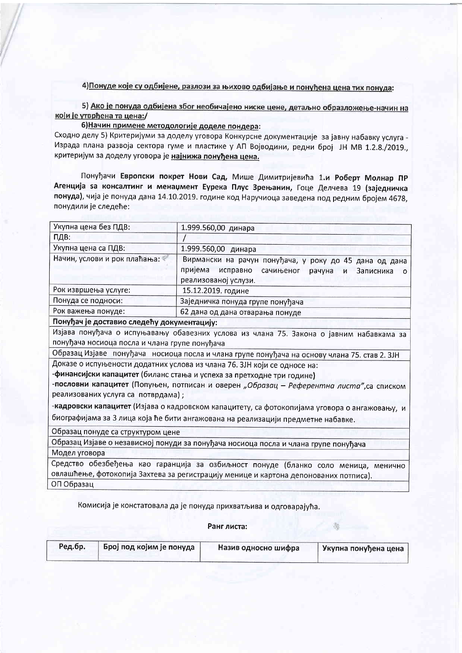## 4) Понуде које су одбијене, разлози за њихово одбијање и понуђена цена тих понуда:

5) Ако је понуда одбијена због необичајено ниске цене, детаљно образложење-начин на који је утврђена та цена:/

6) Начин примене методологије доделе пондера:

Сходно делу 5) Критеријуми за доделу уговора Конкурсне документације за јавну набавку услуга -Израда плана развоја сектора гуме и пластике у АП Војводини, редни број ЈН МВ 1.2.8./2019., критеријум за доделу уговора је најнижа понуђена цена.

Понуђачи Европски покрет Нови Сад, Мише Димитријевића 1.и Роберт Молнар ПР Агенција за консалтинг и менаџмент Еурека Плус Зрењанин, Гоце Делчева 19 (заједничка понуда), чија је понуда дана 14.10.2019. године код Наручиоца заведена под редним бројем 4678, понудили је следеће:

| Укупна цена без ПДВ:                          | 1.999.560,00 динара                                                                                   |
|-----------------------------------------------|-------------------------------------------------------------------------------------------------------|
| ПДВ:                                          |                                                                                                       |
| Укупна цена са ПДВ:                           | 1.999.560,00 динара                                                                                   |
| Начин, услови и рок плаћања:                  | Вирмански на рачун понуђача, у року до 45 дана од дана                                                |
|                                               | пријема<br>исправно<br>сачињеног<br>рачуна<br>N<br>Записника<br>o                                     |
|                                               | реализованој услузи.                                                                                  |
| Рок извршења услуге:                          | 15.12.2019. године                                                                                    |
| Понуда се подноси:                            | Заједничка понуда групе понуђача                                                                      |
| Рок важења понуде:                            | 62 дана од дана отварања понуде                                                                       |
| Понуђач је доставио следећу документацију:    |                                                                                                       |
|                                               | Изјава понуђача о испуњавању обавезних услова из члана 75. Закона о јавним набавкама за               |
| понуђача носиоца посла и члана групе понуђача |                                                                                                       |
|                                               | Образац Изјаве понуђача носиоца посла и члана групе понуђача на основу члана 75. став 2. ЗЈН          |
|                                               | Доказе о испуњености додатних услова из члана 76. ЗЈН који се односе на:                              |
|                                               | -финансијски капацитет (биланс стања и успеха за претходне три године)                                |
|                                               | -пословни капацитет (Попуњен, потписан и оверен "Образац - Референтна листа", са списком              |
| реализованих услуга са потврдама);            |                                                                                                       |
|                                               | - <b>кадровски капацитет</b> (Изјава о кадровском капацитету, са фотокопијама уговора о ангажовању, и |
|                                               | биографијама за 3 лица која ће бити ангажована на реализацији предметне набавке.                      |
| Образац понуде са структуром цене             |                                                                                                       |
|                                               | Образац Изјаве о независној понуди за понуђача носиоца посла и члана групе понуђача                   |
| Модел уговора                                 |                                                                                                       |
|                                               | Средство обезбеђења као гаранција за озбиљност понуде (бланко соло меница, менично                    |
|                                               | овлашћење, фотокопија Захтева за регистрацију менице и картона депонованих потписа).                  |
| ОП Образац                                    |                                                                                                       |

Комисија је констатовала да је понуда прихватљива и одговарајућа.

Ранг листа:

| Ред.бр. | Број под којим је понуда | Назив односно шифра | Укупна понуђена цена |
|---------|--------------------------|---------------------|----------------------|
|         |                          |                     |                      |